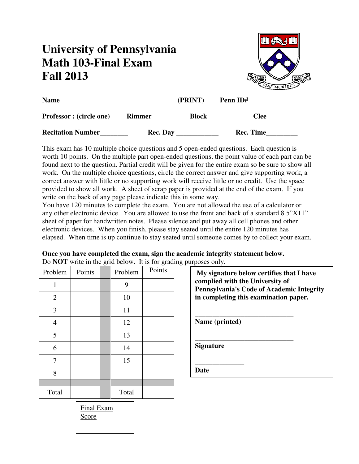## **University of Pennsylvania Math 103-Final Exam Fall 2013**



| <b>Name</b>                     |                 | (PRINT)      | Penn ID#  |  |
|---------------------------------|-----------------|--------------|-----------|--|
| <b>Professor</b> : (circle one) | <b>Rimmer</b>   | <b>Block</b> | Clee      |  |
| <b>Recitation Number</b>        | <b>Rec. Day</b> |              | Rec. Time |  |

This exam has 10 multiple choice questions and 5 open-ended questions. Each question is worth 10 points. On the multiple part open-ended questions, the point value of each part can be found next to the question. Partial credit will be given for the entire exam so be sure to show all work. On the multiple choice questions, circle the correct answer and give supporting work, a correct answer with little or no supporting work will receive little or no credit. Use the space provided to show all work. A sheet of scrap paper is provided at the end of the exam. If you write on the back of any page please indicate this in some way.

You have 120 minutes to complete the exam. You are not allowed the use of a calculator or any other electronic device. You are allowed to use the front and back of a standard 8.5"X11" sheet of paper for handwritten notes. Please silence and put away all cell phones and other electronic devices. When you finish, please stay seated until the entire 120 minutes has elapsed. When time is up continue to stay seated until someone comes by to collect your exam.

| Problem        | Points | Problem | DO NOT WHICH THE GIT DETOW. It is for gradual<br>Points |
|----------------|--------|---------|---------------------------------------------------------|
| $\mathbf{1}$   |        | 9       |                                                         |
| $\mathfrak{2}$ |        | 10      |                                                         |
| 3              |        | 11      |                                                         |
| $\overline{4}$ |        | 12      |                                                         |
| 5              |        | 13      |                                                         |
| 6              |        | 14      |                                                         |
| 7              |        | 15      |                                                         |
| 8              |        |         |                                                         |
|                |        |         |                                                         |
| Total          |        | Total   |                                                         |

**Once you have completed the exam, sign the academic integrity statement below.**  Do **NOT** write in the grid below. It is for grading purposes only.

| My signature below certifies that I have<br>complied with the University of<br><b>Pennsylvania's Code of Academic Integrity</b><br>in completing this examination paper. |
|--------------------------------------------------------------------------------------------------------------------------------------------------------------------------|
| Name (printed)                                                                                                                                                           |
| <b>Signature</b>                                                                                                                                                         |
| )ate                                                                                                                                                                     |

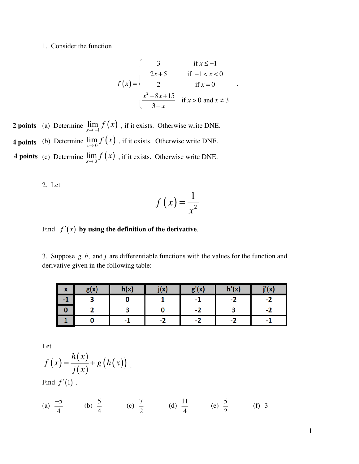1. Consider the function

$$
f(x) = \begin{cases} 3 & \text{if } x \le -1 \\ 2x + 5 & \text{if } -1 < x < 0 \\ 2 & \text{if } x = 0 \\ \frac{x^2 - 8x + 15}{3 - x} & \text{if } x > 0 \text{ and } x \ne 3 \end{cases}
$$

**2 points** (a) Determine  $\lim_{x \to -1} f(x)$ , if it exists. Otherwise write DNE. **4 points** (b) Determine  $\lim_{x\to 0} f(x)$ , if it exists. Otherwise write DNE. **4 points** (c) Determine  $\lim_{x\to 3} f(x)$ , if it exists. Otherwise write DNE.

2. Let

$$
f\left(x\right) = \frac{1}{x^2}
$$

## Find  $f'(x)$  by using the definition of the derivative.

3. Suppose  $g, h$ , and  $j$  are differentiable functions with the values for the function and derivative given in the following table:

| $\mathbf{v}$<br>́ | g(x) | h(x) | j(x) | g'(x) | h'(x) | j'(x) |
|-------------------|------|------|------|-------|-------|-------|
| - 1               |      |      |      | ÷ш    | -2    | - 4   |
|                   |      |      |      | - 1   |       |       |
|                   |      | - 1  | - 7  | - 1   | - 4   |       |

Let

$$
f(x) = \frac{h(x)}{j(x)} + g(h(x))
$$

Find  $f'(1)$ .

(a) 
$$
\frac{-5}{4}
$$
 (b)  $\frac{5}{4}$  (c)  $\frac{7}{2}$  (d)  $\frac{11}{4}$  (e)  $\frac{5}{2}$  (f) 3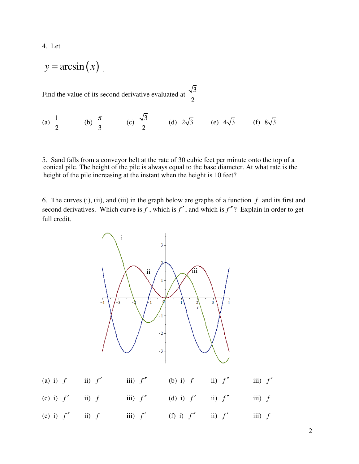4. Let

$$
y = \arcsin(x)
$$

Find the value of its second derivative evaluated at  $\frac{\sqrt{3}}{2}$ 2

(a) 
$$
\frac{1}{2}
$$
 (b)  $\frac{\pi}{3}$  (c)  $\frac{\sqrt{3}}{2}$  (d)  $2\sqrt{3}$  (e)  $4\sqrt{3}$  (f)  $8\sqrt{3}$ 

5. Sand falls from a conveyor belt at the rate of 30 cubic feet per minute onto the top of a conical pile. The height of the pile is always equal to the base diameter. At what rate is the height of the pile increasing at the instant when the height is 10 feet?

6. The curves (i), (ii), and (iii) in the graph below are graphs of a function *f* and its first and second derivatives. Which curve is  $f$ , which is  $f'$ , and which is  $f''$ ? Explain in order to get full credit.

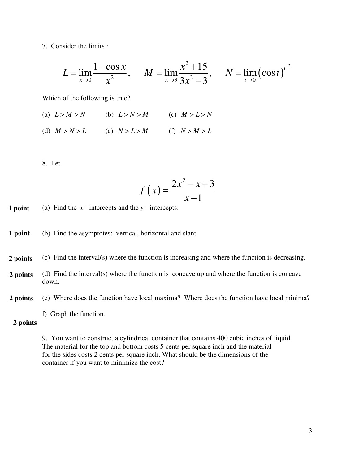7. Consider the limits :

$$
L = \lim_{x \to 0} \frac{1 - \cos x}{x^2}, \quad M = \lim_{x \to 3} \frac{x^2 + 15}{3x^2 - 3}, \quad N = \lim_{t \to 0} (\cos t)^{t^2}
$$

Which of the following is true?

(a)  $L > M > N$  (b)  $L > N > M$  (c)  $M > L > N$ 

(d)  $M > N > L$  (e)  $N > L > M$  (f)  $N > M > L$ 

8. Let

$$
f\left(x\right) = \frac{2x^2 - x + 3}{x - 1}
$$

(a) Find the  $x$  − intercepts and the  $y$  − intercepts. **1 point** 

(b) Find the asymptotes: vertical, horizontal and slant. **1 point** 

- (c) Find the interval(s) where the function is increasing and where the function is decreasing. **2 points**
- (d) Find the interval(s) where the function is concave up and where the function is concave down. **2 points**
- (e) Where does the function have local maxima? Where does the function have local minima? **2 points** 
	- f) Graph the function.

## **2 points**

9. You want to construct a cylindrical container that contains 400 cubic inches of liquid. The material for the top and bottom costs 5 cents per square inch and the material for the sides costs 2 cents per square inch. What should be the dimensions of the container if you want to minimize the cost?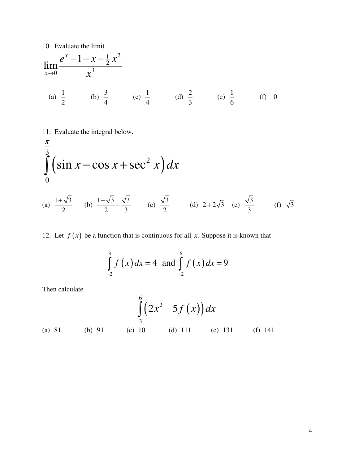10. Evaluate the limit

$$
\lim_{x \to 0} \frac{e^x - 1 - x - \frac{1}{2}x^2}{x^3}
$$
\n(a)  $\frac{1}{2}$  (b)  $\frac{3}{4}$  (c)  $\frac{1}{4}$  (d)  $\frac{2}{3}$  (e)  $\frac{1}{6}$  (f) 0

11. Evaluate the integral below.

$$
\int_{0}^{\frac{\pi}{3}} \left( \sin x - \cos x + \sec^2 x \right) dx
$$
\n(a)  $\frac{1+\sqrt{3}}{2}$  (b)  $\frac{1-\sqrt{3}}{2} + \frac{\sqrt{3}}{3}$  (c)  $\frac{\sqrt{3}}{2}$  (d)  $2+2\sqrt{3}$  (e)  $\frac{\sqrt{3}}{3}$  (f)  $\sqrt{3}$ 

12. Let  $f(x)$  be a function that is continuous for all *x*. Suppose it is known that

$$
\int_{-2}^{3} f(x) dx = 4 \text{ and } \int_{-2}^{6} f(x) dx = 9
$$

Then calculate

( ) ( ) 6 2 3 2 5 *x f x dx* <sup>−</sup> ∫ (a) 81 (b) 91 (c) 101 (d) 111 (e) 131 (f) 141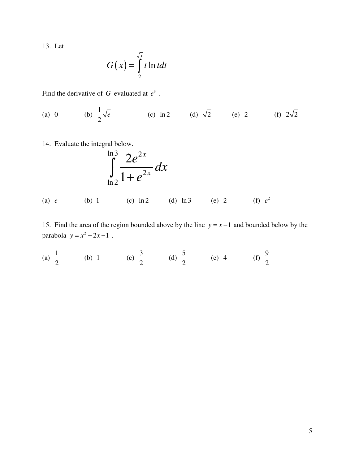13. Let

$$
G(x) = \int_{2}^{\sqrt{x}} t \ln t dt
$$

Find the derivative of  $G$  evaluated at  $e^8$ .

(a) 0 (b) 
$$
\frac{1}{2}\sqrt{e}
$$
 (c) ln 2 (d)  $\sqrt{2}$  (e) 2 (f)  $2\sqrt{2}$ 

14. Evaluate the integral below.

$$
\int_{\ln 2}^{\ln 3} \frac{2e^{2x}}{1+e^{2x}} dx
$$

(a)  $e$  (b) 1 (c)  $\ln 2$  (d)  $\ln 3$  (e) 2 (f)  $e^2$ 

15. Find the area of the region bounded above by the line  $y = x - 1$  and bounded below by the  $\text{parabola } y = x^2 - 2x - 1$ .

(a) 
$$
\frac{1}{2}
$$
 (b) 1 (c)  $\frac{3}{2}$  (d)  $\frac{5}{2}$  (e) 4 (f)  $\frac{9}{2}$